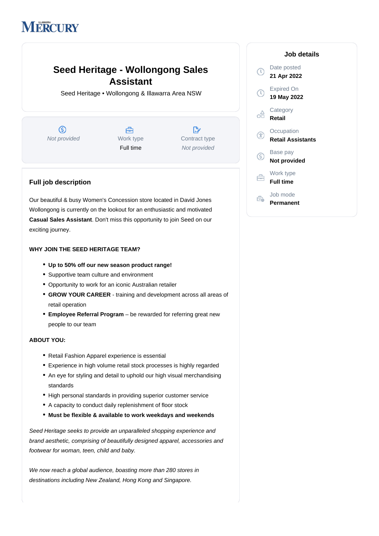# **IERCURY**

## **Seed Heritage - Wollongong Sales Assistant**

Seed Heritage • Wollongong & Illawarra Area NSW

 $\circledS$ Not provided Work type



 $\mathbb{R}^{\cdot}$ Contract type Not provided

### **Full job description**

Our beautiful & busy Women's Concession store located in David Jones Wollongong is currently on the lookout for an enthusiastic and motivated **Casual Sales Assistant**. Don't miss this opportunity to join Seed on our exciting journey.

#### **WHY JOIN THE SEED HERITAGE TEAM?**

- **Up to 50% off our new season product range!**
- Supportive team culture and environment
- Opportunity to work for an iconic Australian retailer
- GROW YOUR CAREER training and development across all areas of retail operation
- **Employee Referral Program** be rewarded for referring great new people to our team

#### **ABOUT YOU:**

- Retail Fashion Apparel experience is essential
- Experience in high volume retail stock processes is highly regarded
- An eye for styling and detail to uphold our high visual merchandising standards
- High personal standards in providing superior customer service
- A capacity to conduct daily replenishment of floor stock
- **Must be flexible & available to work weekdays and weekends**

Seed Heritage seeks to provide an unparalleled shopping experience and brand aesthetic, comprising of beautifully designed apparel, accessories and footwear for woman, teen, child and baby.

We now reach a global audience, boasting more than 280 stores in destinations including New Zealand, Hong Kong and Singapore.

#### **Job details** Date posted **21 Apr 2022** Expired On **19 May 2022 Category** oo **Retail Occupation** G **Retail Assistants** Base pay  $\circledS$ **Not provided** Work type 白 **Full time** Job mode Ê. **Permanent**